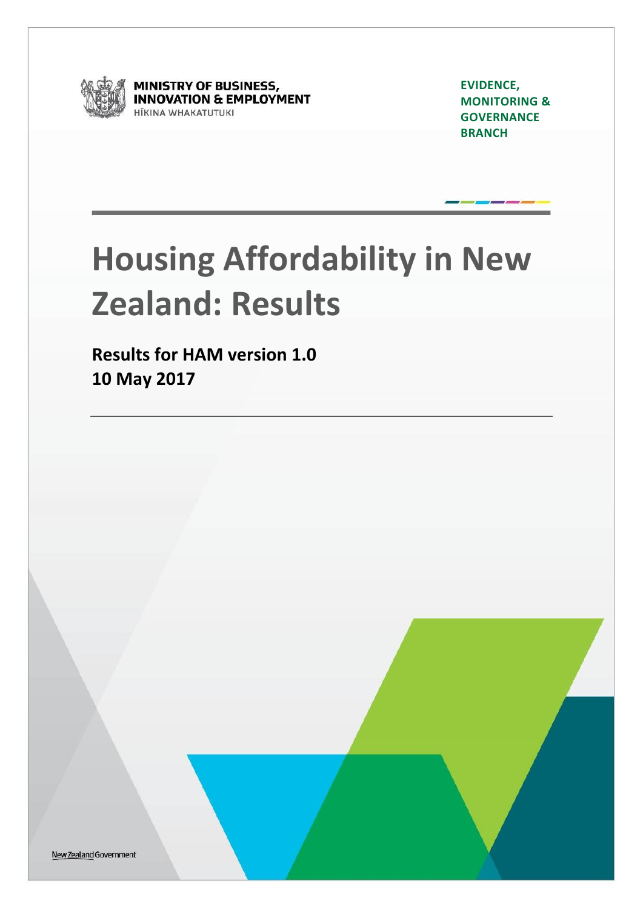

**MINISTRY OF BUSINESS,<br>INNOVATION & EMPLOYMENT ITKINA WHAKATUTUKI** 

**EVIDENCE, MONITORING & GOVERNANCE BRANCH**

# **Housing Affordability in New Zealand: Results**

**Results for HAM version 1.0 10 May 2017**

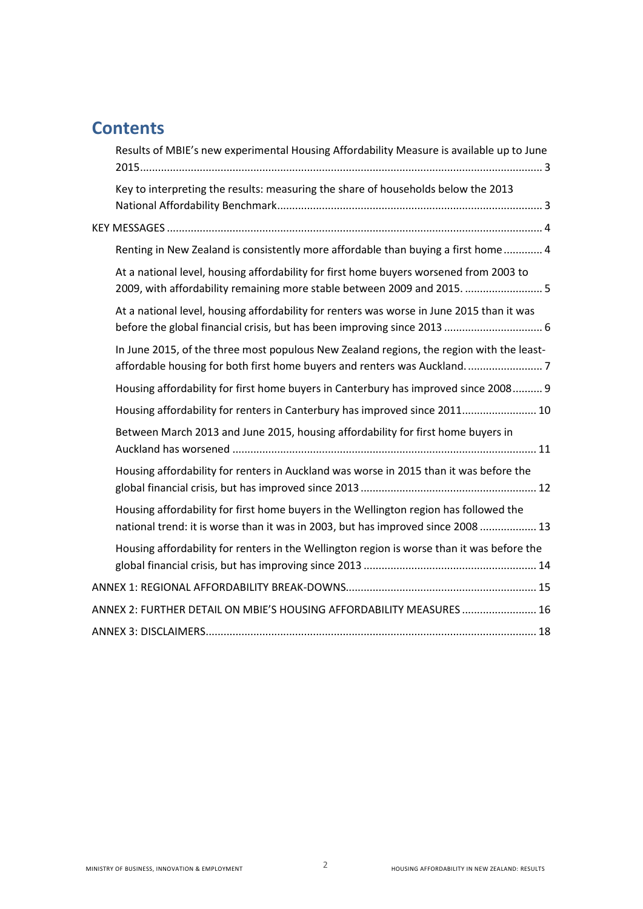# **Contents**

| Results of MBIE's new experimental Housing Affordability Measure is available up to June                                                                                  |
|---------------------------------------------------------------------------------------------------------------------------------------------------------------------------|
| Key to interpreting the results: measuring the share of households below the 2013                                                                                         |
|                                                                                                                                                                           |
| Renting in New Zealand is consistently more affordable than buying a first home 4                                                                                         |
| At a national level, housing affordability for first home buyers worsened from 2003 to<br>2009, with affordability remaining more stable between 2009 and 2015.  5        |
| At a national level, housing affordability for renters was worse in June 2015 than it was                                                                                 |
| In June 2015, of the three most populous New Zealand regions, the region with the least-                                                                                  |
| Housing affordability for first home buyers in Canterbury has improved since 2008 9                                                                                       |
| Housing affordability for renters in Canterbury has improved since 2011 10                                                                                                |
| Between March 2013 and June 2015, housing affordability for first home buyers in                                                                                          |
| Housing affordability for renters in Auckland was worse in 2015 than it was before the                                                                                    |
| Housing affordability for first home buyers in the Wellington region has followed the<br>national trend: it is worse than it was in 2003, but has improved since 2008  13 |
| Housing affordability for renters in the Wellington region is worse than it was before the                                                                                |
|                                                                                                                                                                           |
| ANNEX 2: FURTHER DETAIL ON MBIE'S HOUSING AFFORDABILITY MEASURES  16                                                                                                      |
|                                                                                                                                                                           |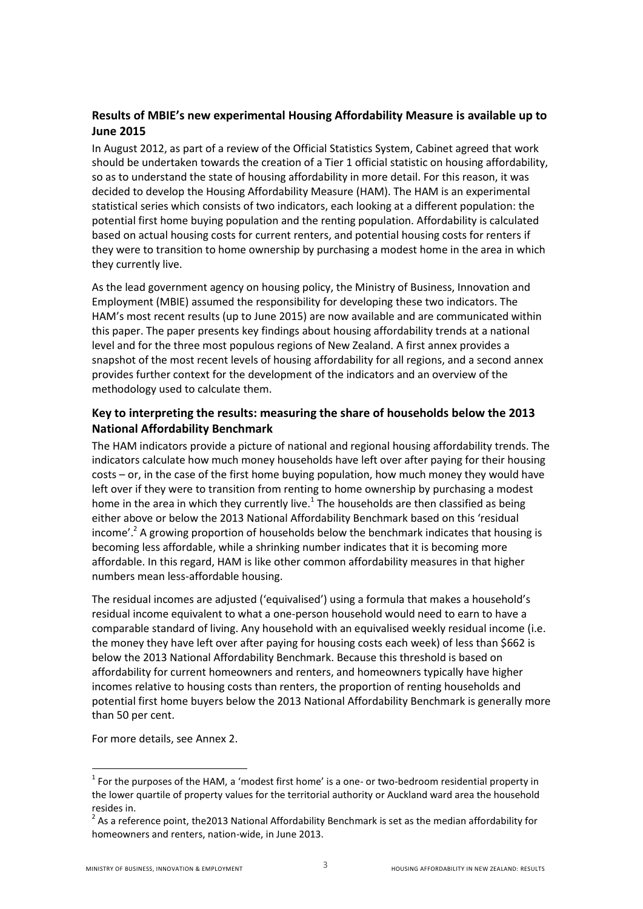### <span id="page-2-0"></span>**Results of MBIE's new experimental Housing Affordability Measure is available up to June 2015**

In August 2012, as part of a review of the Official Statistics System, Cabinet agreed that work should be undertaken towards the creation of a Tier 1 official statistic on housing affordability, so as to understand the state of housing affordability in more detail. For this reason, it was decided to develop the Housing Affordability Measure (HAM). The HAM is an experimental statistical series which consists of two indicators, each looking at a different population: the potential first home buying population and the renting population. Affordability is calculated based on actual housing costs for current renters, and potential housing costs for renters if they were to transition to home ownership by purchasing a modest home in the area in which they currently live.

As the lead government agency on housing policy, the Ministry of Business, Innovation and Employment (MBIE) assumed the responsibility for developing these two indicators. The HAM's most recent results (up to June 2015) are now available and are communicated within this paper. The paper presents key findings about housing affordability trends at a national level and for the three most populous regions of New Zealand. A first annex provides a snapshot of the most recent levels of housing affordability for all regions, and a second annex provides further context for the development of the indicators and an overview of the methodology used to calculate them.

## <span id="page-2-1"></span>**Key to interpreting the results: measuring the share of households below the 2013 National Affordability Benchmark**

The HAM indicators provide a picture of national and regional housing affordability trends. The indicators calculate how much money households have left over after paying for their housing costs – or, in the case of the first home buying population, how much money they would have left over if they were to transition from renting to home ownership by purchasing a modest home in the area in which they currently live.<sup>1</sup> The households are then classified as being either above or below the 2013 National Affordability Benchmark based on this 'residual income'.<sup>2</sup> A growing proportion of households below the benchmark indicates that housing is becoming less affordable, while a shrinking number indicates that it is becoming more affordable. In this regard, HAM is like other common affordability measures in that higher numbers mean less-affordable housing.

The residual incomes are adjusted ('equivalised') using a formula that makes a household's residual income equivalent to what a one-person household would need to earn to have a comparable standard of living. Any household with an equivalised weekly residual income (i.e. the money they have left over after paying for housing costs each week) of less than \$662 is below the 2013 National Affordability Benchmark. Because this threshold is based on affordability for current homeowners and renters, and homeowners typically have higher incomes relative to housing costs than renters, the proportion of renting households and potential first home buyers below the 2013 National Affordability Benchmark is generally more than 50 per cent.

For more details, see Annex 2.

**.** 

 $1$  For the purposes of the HAM, a 'modest first home' is a one- or two-bedroom residential property in the lower quartile of property values for the territorial authority or Auckland ward area the household resides in.

 $2$  As a reference point, the2013 National Affordability Benchmark is set as the median affordability for homeowners and renters, nation-wide, in June 2013.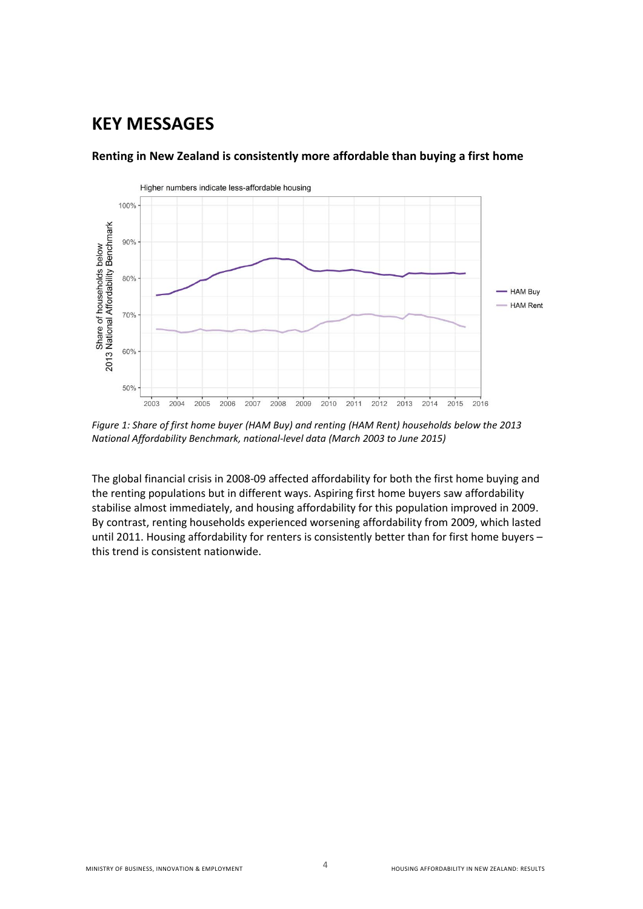## <span id="page-3-0"></span>**KEY MESSAGES**



#### <span id="page-3-1"></span>**Renting in New Zealand is consistently more affordable than buying a first home**

*Figure 1: Share of first home buyer (HAM Buy) and renting (HAM Rent) households below the 2013 National Affordability Benchmark, national-level data (March 2003 to June 2015)* 

The global financial crisis in 2008-09 affected affordability for both the first home buying and the renting populations but in different ways. Aspiring first home buyers saw affordability stabilise almost immediately, and housing affordability for this population improved in 2009. By contrast, renting households experienced worsening affordability from 2009, which lasted until 2011. Housing affordability for renters is consistently better than for first home buyers – this trend is consistent nationwide.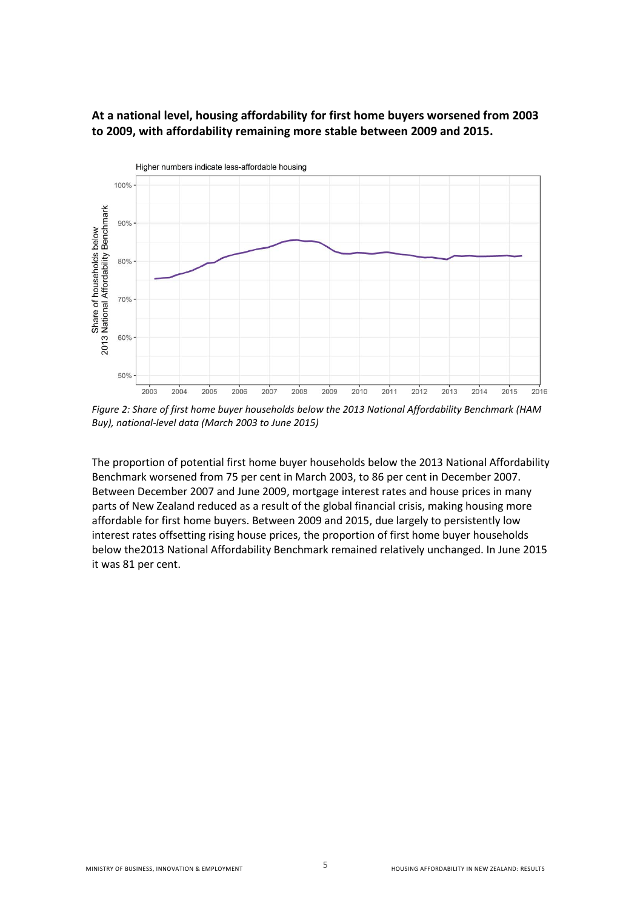

#### <span id="page-4-0"></span>**At a national level, housing affordability for first home buyers worsened from 2003 to 2009, with affordability remaining more stable between 2009 and 2015.**

*Figure 2: Share of first home buyer households below the 2013 National Affordability Benchmark (HAM Buy), national-level data (March 2003 to June 2015)* 

The proportion of potential first home buyer households below the 2013 National Affordability Benchmark worsened from 75 per cent in March 2003, to 86 per cent in December 2007. Between December 2007 and June 2009, mortgage interest rates and house prices in many parts of New Zealand reduced as a result of the global financial crisis, making housing more affordable for first home buyers. Between 2009 and 2015, due largely to persistently low interest rates offsetting rising house prices, the proportion of first home buyer households below the2013 National Affordability Benchmark remained relatively unchanged. In June 2015 it was 81 per cent.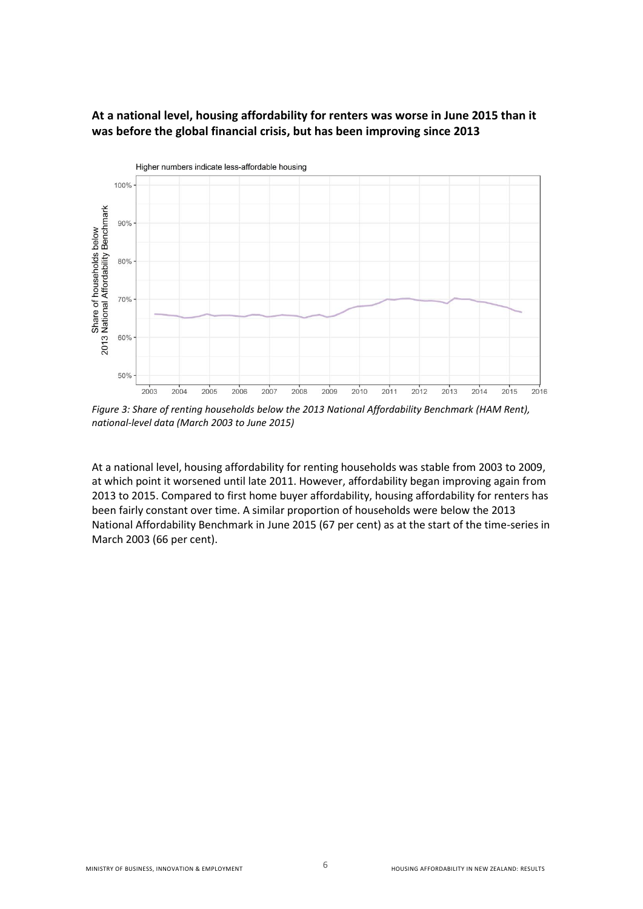

#### <span id="page-5-0"></span>**At a national level, housing affordability for renters was worse in June 2015 than it was before the global financial crisis, but has been improving since 2013**

*Figure 3: Share of renting households below the 2013 National Affordability Benchmark (HAM Rent), national-level data (March 2003 to June 2015)* 

At a national level, housing affordability for renting households was stable from 2003 to 2009, at which point it worsened until late 2011. However, affordability began improving again from 2013 to 2015. Compared to first home buyer affordability, housing affordability for renters has been fairly constant over time. A similar proportion of households were below the 2013 National Affordability Benchmark in June 2015 (67 per cent) as at the start of the time-series in March 2003 (66 per cent).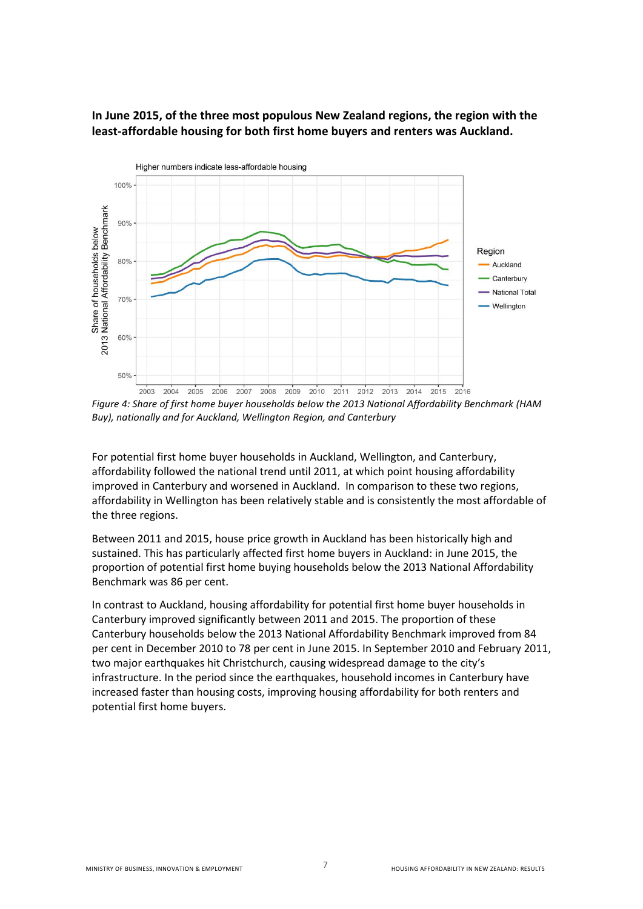

#### <span id="page-6-0"></span>**In June 2015, of the three most populous New Zealand regions, the region with the least-affordable housing for both first home buyers and renters was Auckland.**

*Figure 4: Share of first home buyer households below the 2013 National Affordability Benchmark (HAM Buy), nationally and for Auckland, Wellington Region, and Canterbury* 

For potential first home buyer households in Auckland, Wellington, and Canterbury, affordability followed the national trend until 2011, at which point housing affordability improved in Canterbury and worsened in Auckland. In comparison to these two regions, affordability in Wellington has been relatively stable and is consistently the most affordable of the three regions.

Between 2011 and 2015, house price growth in Auckland has been historically high and sustained. This has particularly affected first home buyers in Auckland: in June 2015, the proportion of potential first home buying households below the 2013 National Affordability Benchmark was 86 per cent.

In contrast to Auckland, housing affordability for potential first home buyer households in Canterbury improved significantly between 2011 and 2015. The proportion of these Canterbury households below the 2013 National Affordability Benchmark improved from 84 per cent in December 2010 to 78 per cent in June 2015. In September 2010 and February 2011, two major earthquakes hit Christchurch, causing widespread damage to the city's infrastructure. In the period since the earthquakes, household incomes in Canterbury have increased faster than housing costs, improving housing affordability for both renters and potential first home buyers.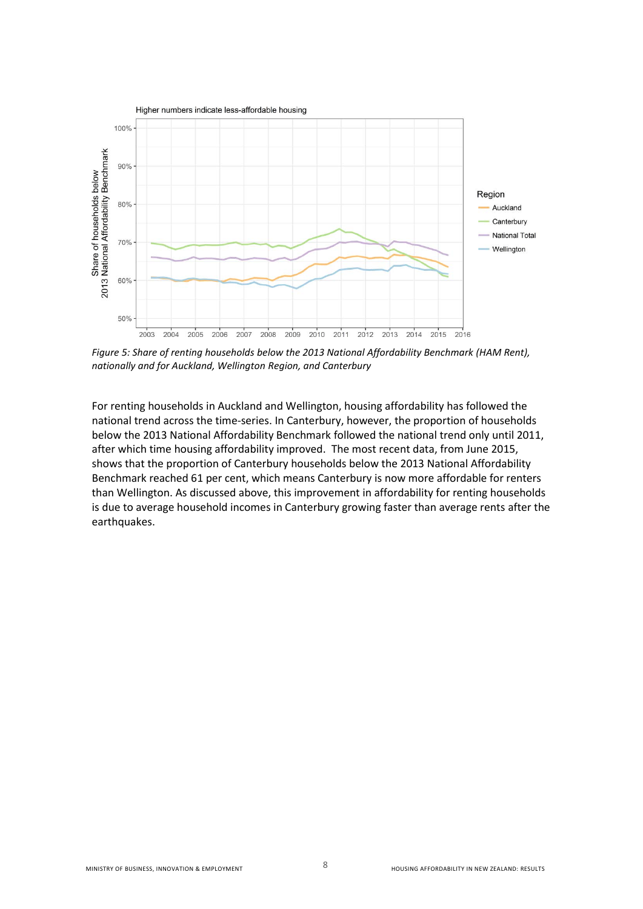

*Figure 5: Share of renting households below the 2013 National Affordability Benchmark (HAM Rent), nationally and for Auckland, Wellington Region, and Canterbury* 

For renting households in Auckland and Wellington, housing affordability has followed the national trend across the time-series. In Canterbury, however, the proportion of households below the 2013 National Affordability Benchmark followed the national trend only until 2011, after which time housing affordability improved. The most recent data, from June 2015, shows that the proportion of Canterbury households below the 2013 National Affordability Benchmark reached 61 per cent, which means Canterbury is now more affordable for renters than Wellington. As discussed above, this improvement in affordability for renting households is due to average household incomes in Canterbury growing faster than average rents after the earthquakes.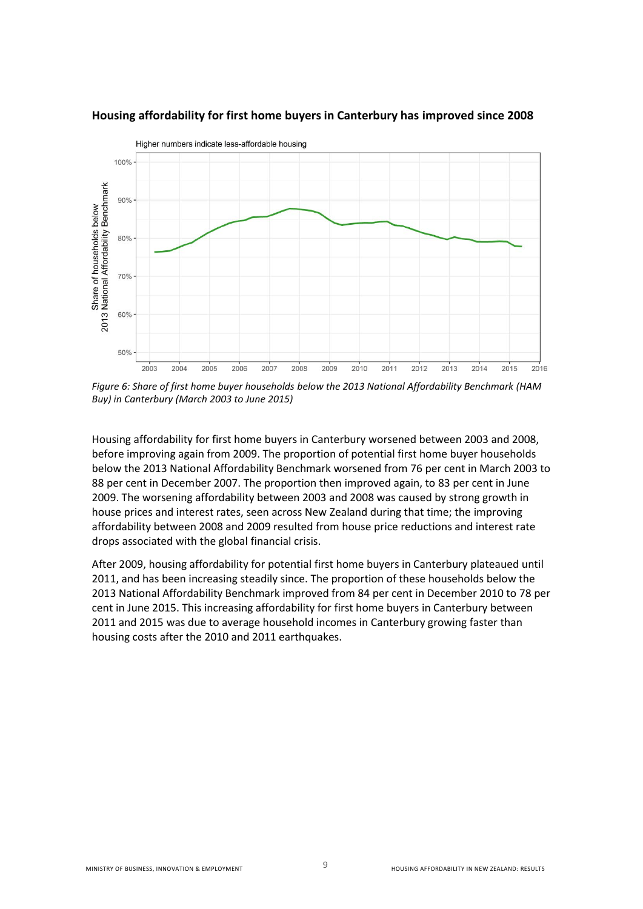

#### <span id="page-8-0"></span>**Housing affordability for first home buyers in Canterbury has improved since 2008**

*Figure 6: Share of first home buyer households below the 2013 National Affordability Benchmark (HAM Buy) in Canterbury (March 2003 to June 2015)* 

Housing affordability for first home buyers in Canterbury worsened between 2003 and 2008, before improving again from 2009. The proportion of potential first home buyer households below the 2013 National Affordability Benchmark worsened from 76 per cent in March 2003 to 88 per cent in December 2007. The proportion then improved again, to 83 per cent in June 2009. The worsening affordability between 2003 and 2008 was caused by strong growth in house prices and interest rates, seen across New Zealand during that time; the improving affordability between 2008 and 2009 resulted from house price reductions and interest rate drops associated with the global financial crisis.

After 2009, housing affordability for potential first home buyers in Canterbury plateaued until 2011, and has been increasing steadily since. The proportion of these households below the 2013 National Affordability Benchmark improved from 84 per cent in December 2010 to 78 per cent in June 2015. This increasing affordability for first home buyers in Canterbury between 2011 and 2015 was due to average household incomes in Canterbury growing faster than housing costs after the 2010 and 2011 earthquakes.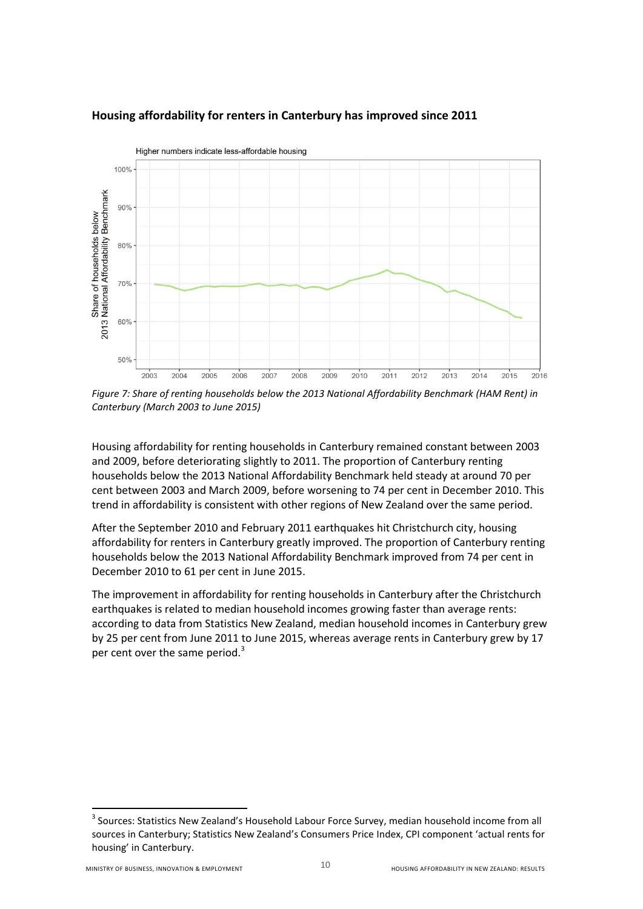

## <span id="page-9-0"></span>**Housing affordability for renters in Canterbury has improved since 2011**

*Figure 7: Share of renting households below the 2013 National Affordability Benchmark (HAM Rent) in Canterbury (March 2003 to June 2015)*

Housing affordability for renting households in Canterbury remained constant between 2003 and 2009, before deteriorating slightly to 2011. The proportion of Canterbury renting households below the 2013 National Affordability Benchmark held steady at around 70 per cent between 2003 and March 2009, before worsening to 74 per cent in December 2010. This trend in affordability is consistent with other regions of New Zealand over the same period.

After the September 2010 and February 2011 earthquakes hit Christchurch city, housing affordability for renters in Canterbury greatly improved. The proportion of Canterbury renting households below the 2013 National Affordability Benchmark improved from 74 per cent in December 2010 to 61 per cent in June 2015.

The improvement in affordability for renting households in Canterbury after the Christchurch earthquakes is related to median household incomes growing faster than average rents: according to data from Statistics New Zealand, median household incomes in Canterbury grew by 25 per cent from June 2011 to June 2015, whereas average rents in Canterbury grew by 17 per cent over the same period.<sup>3</sup>

 3 Sources: Statistics New Zealand's Household Labour Force Survey, median household income from all sources in Canterbury; Statistics New Zealand's Consumers Price Index, CPI component 'actual rents for housing' in Canterbury.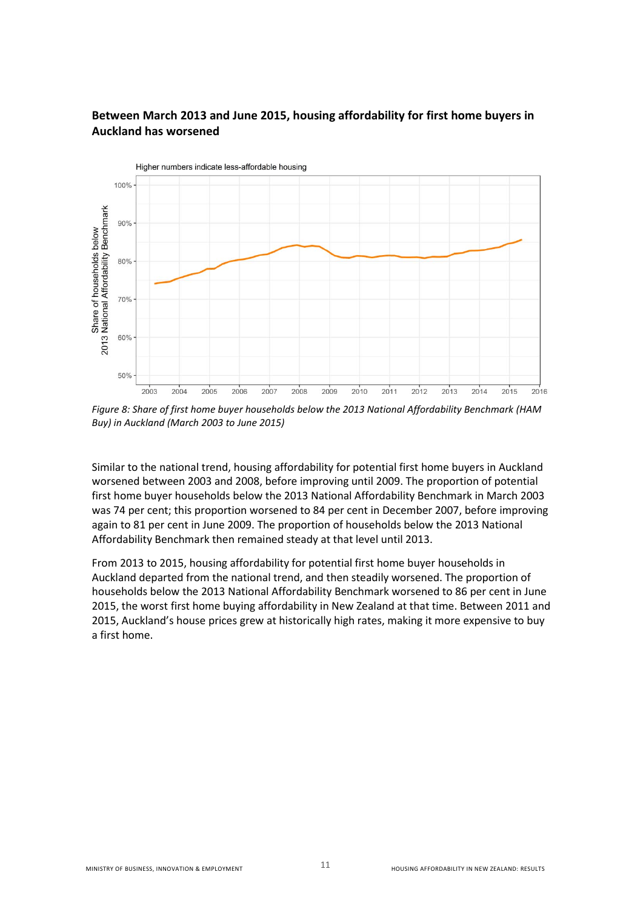## <span id="page-10-0"></span>**Between March 2013 and June 2015, housing affordability for first home buyers in Auckland has worsened**



*Figure 8: Share of first home buyer households below the 2013 National Affordability Benchmark (HAM Buy) in Auckland (March 2003 to June 2015)* 

Similar to the national trend, housing affordability for potential first home buyers in Auckland worsened between 2003 and 2008, before improving until 2009. The proportion of potential first home buyer households below the 2013 National Affordability Benchmark in March 2003 was 74 per cent; this proportion worsened to 84 per cent in December 2007, before improving again to 81 per cent in June 2009. The proportion of households below the 2013 National Affordability Benchmark then remained steady at that level until 2013.

From 2013 to 2015, housing affordability for potential first home buyer households in Auckland departed from the national trend, and then steadily worsened. The proportion of households below the 2013 National Affordability Benchmark worsened to 86 per cent in June 2015, the worst first home buying affordability in New Zealand at that time. Between 2011 and 2015, Auckland's house prices grew at historically high rates, making it more expensive to buy a first home.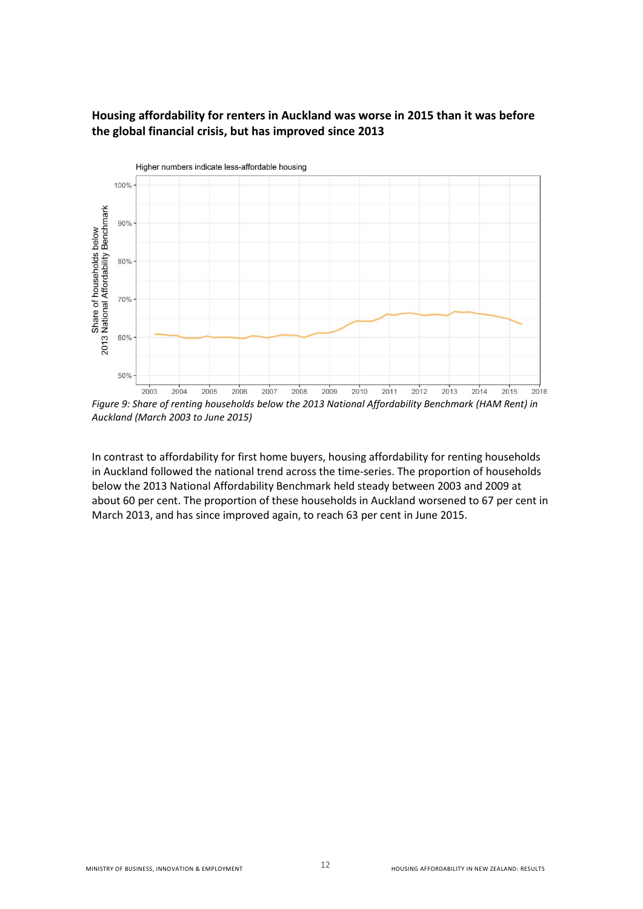### <span id="page-11-0"></span>**Housing affordability for renters in Auckland was worse in 2015 than it was before the global financial crisis, but has improved since 2013**



*Auckland (March 2003 to June 2015)* 

In contrast to affordability for first home buyers, housing affordability for renting households in Auckland followed the national trend across the time-series. The proportion of households below the 2013 National Affordability Benchmark held steady between 2003 and 2009 at about 60 per cent. The proportion of these households in Auckland worsened to 67 per cent in March 2013, and has since improved again, to reach 63 per cent in June 2015.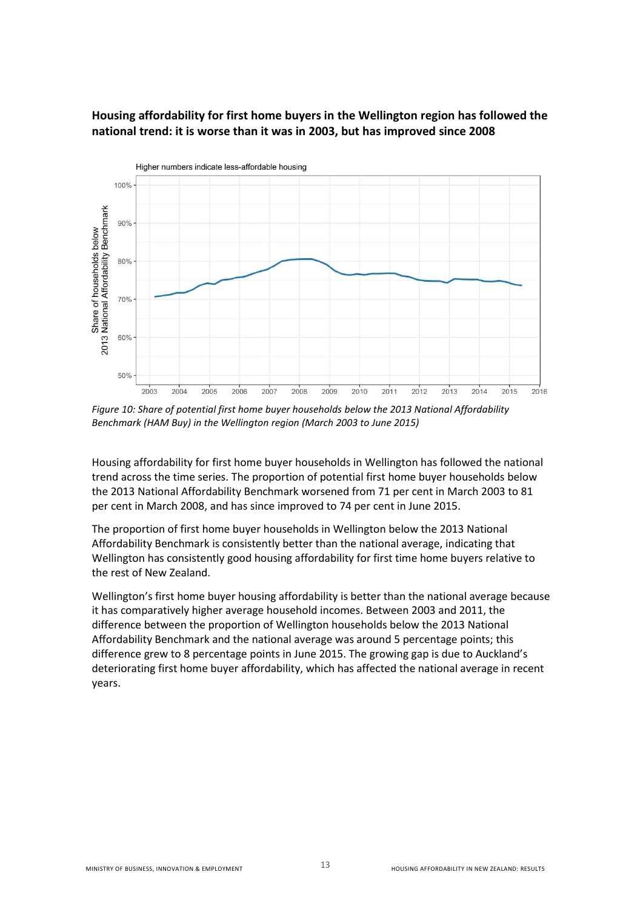### <span id="page-12-0"></span>**Housing affordability for first home buyers in the Wellington region has followed the national trend: it is worse than it was in 2003, but has improved since 2008**



*Figure 10: Share of potential first home buyer households below the 2013 National Affordability Benchmark (HAM Buy) in the Wellington region (March 2003 to June 2015)* 

Housing affordability for first home buyer households in Wellington has followed the national trend across the time series. The proportion of potential first home buyer households below the 2013 National Affordability Benchmark worsened from 71 per cent in March 2003 to 81 per cent in March 2008, and has since improved to 74 per cent in June 2015.

The proportion of first home buyer households in Wellington below the 2013 National Affordability Benchmark is consistently better than the national average, indicating that Wellington has consistently good housing affordability for first time home buyers relative to the rest of New Zealand.

Wellington's first home buyer housing affordability is better than the national average because it has comparatively higher average household incomes. Between 2003 and 2011, the difference between the proportion of Wellington households below the 2013 National Affordability Benchmark and the national average was around 5 percentage points; this difference grew to 8 percentage points in June 2015. The growing gap is due to Auckland's deteriorating first home buyer affordability, which has affected the national average in recent years.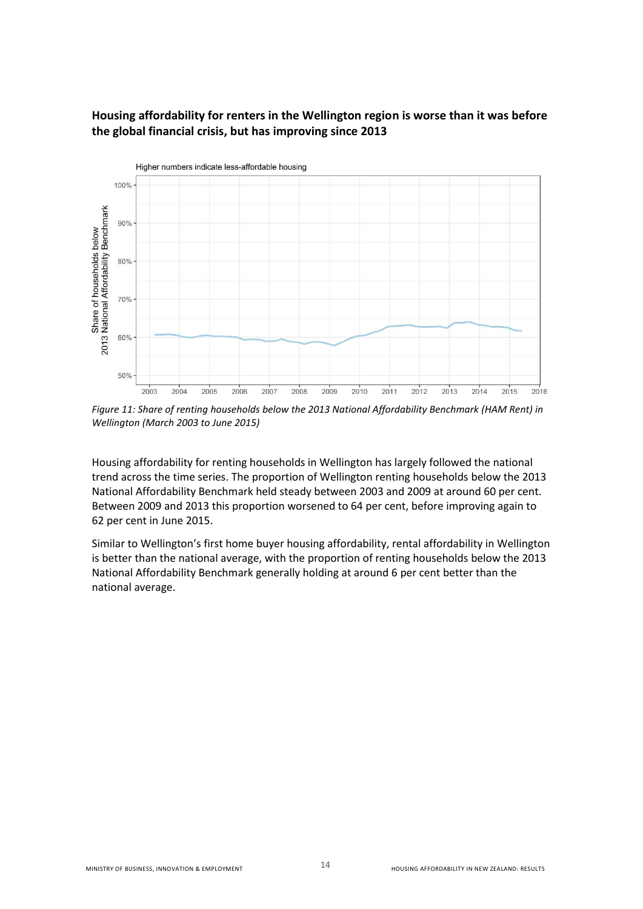### <span id="page-13-0"></span>**Housing affordability for renters in the Wellington region is worse than it was before the global financial crisis, but has improving since 2013**



*Figure 11: Share of renting households below the 2013 National Affordability Benchmark (HAM Rent) in Wellington (March 2003 to June 2015)* 

Housing affordability for renting households in Wellington has largely followed the national trend across the time series. The proportion of Wellington renting households below the 2013 National Affordability Benchmark held steady between 2003 and 2009 at around 60 per cent. Between 2009 and 2013 this proportion worsened to 64 per cent, before improving again to 62 per cent in June 2015.

Similar to Wellington's first home buyer housing affordability, rental affordability in Wellington is better than the national average, with the proportion of renting households below the 2013 National Affordability Benchmark generally holding at around 6 per cent better than the national average.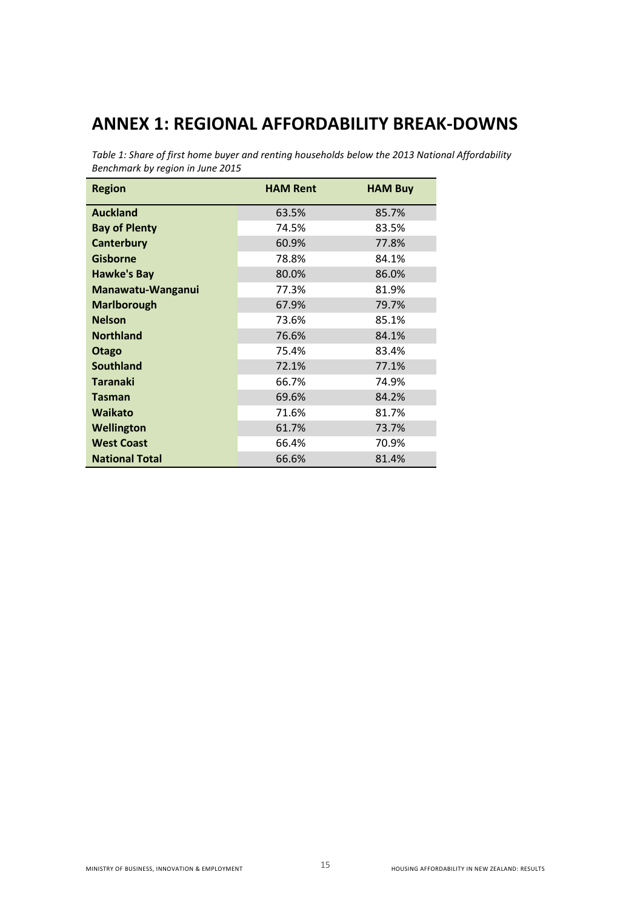# <span id="page-14-0"></span>**ANNEX 1: REGIONAL AFFORDABILITY BREAK-DOWNS**

*Table 1: Share of first home buyer and renting households below the 2013 National Affordability Benchmark by region in June 2015* 

| <b>Region</b>         | <b>HAM Rent</b> | <b>HAM Buy</b> |
|-----------------------|-----------------|----------------|
| <b>Auckland</b>       | 63.5%           | 85.7%          |
| <b>Bay of Plenty</b>  | 74.5%           | 83.5%          |
| <b>Canterbury</b>     | 60.9%           | 77.8%          |
| <b>Gisborne</b>       | 78.8%           | 84.1%          |
| <b>Hawke's Bay</b>    | 80.0%           | 86.0%          |
| Manawatu-Wanganui     | 77.3%           | 81.9%          |
| <b>Marlborough</b>    | 67.9%           | 79.7%          |
| <b>Nelson</b>         | 73.6%           | 85.1%          |
| <b>Northland</b>      | 76.6%           | 84.1%          |
| Otago                 | 75.4%           | 83.4%          |
| <b>Southland</b>      | 72.1%           | 77.1%          |
| <b>Taranaki</b>       | 66.7%           | 74.9%          |
| <b>Tasman</b>         | 69.6%           | 84.2%          |
| <b>Waikato</b>        | 71.6%           | 81.7%          |
| Wellington            | 61.7%           | 73.7%          |
| <b>West Coast</b>     | 66.4%           | 70.9%          |
| <b>National Total</b> | 66.6%           | 81.4%          |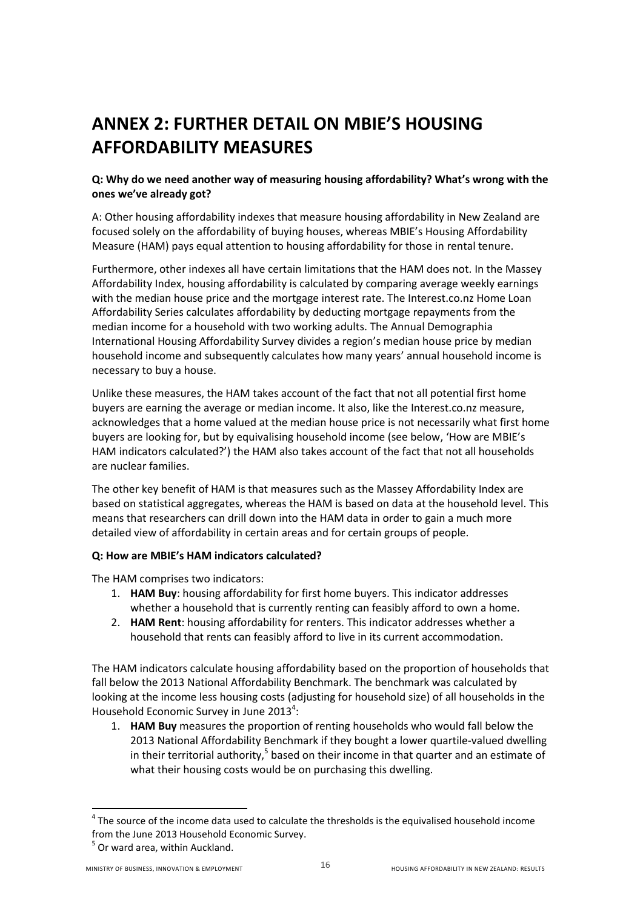# <span id="page-15-0"></span>**ANNEX 2: FURTHER DETAIL ON MBIE'S HOUSING AFFORDABILITY MEASURES**

#### **Q: Why do we need another way of measuring housing affordability? What's wrong with the ones we've already got?**

A: Other housing affordability indexes that measure housing affordability in New Zealand are focused solely on the affordability of buying houses, whereas MBIE's Housing Affordability Measure (HAM) pays equal attention to housing affordability for those in rental tenure.

Furthermore, other indexes all have certain limitations that the HAM does not. In the Massey Affordability Index, housing affordability is calculated by comparing average weekly earnings with the median house price and the mortgage interest rate. The Interest.co.nz Home Loan Affordability Series calculates affordability by deducting mortgage repayments from the median income for a household with two working adults. The Annual Demographia International Housing Affordability Survey divides a region's median house price by median household income and subsequently calculates how many years' annual household income is necessary to buy a house.

Unlike these measures, the HAM takes account of the fact that not all potential first home buyers are earning the average or median income. It also, like the Interest.co.nz measure, acknowledges that a home valued at the median house price is not necessarily what first home buyers are looking for, but by equivalising household income (see below, 'How are MBIE's HAM indicators calculated?') the HAM also takes account of the fact that not all households are nuclear families.

The other key benefit of HAM is that measures such as the Massey Affordability Index are based on statistical aggregates, whereas the HAM is based on data at the household level. This means that researchers can drill down into the HAM data in order to gain a much more detailed view of affordability in certain areas and for certain groups of people.

#### **Q: How are MBIE's HAM indicators calculated?**

The HAM comprises two indicators:

- 1. **HAM Buy**: housing affordability for first home buyers. This indicator addresses whether a household that is currently renting can feasibly afford to own a home.
- 2. **HAM Rent**: housing affordability for renters. This indicator addresses whether a household that rents can feasibly afford to live in its current accommodation.

The HAM indicators calculate housing affordability based on the proportion of households that fall below the 2013 National Affordability Benchmark. The benchmark was calculated by looking at the income less housing costs (adjusting for household size) of all households in the Household Economic Survey in June 2013<sup>4</sup>:

1. **HAM Buy** measures the proportion of renting households who would fall below the 2013 National Affordability Benchmark if they bought a lower quartile-valued dwelling in their territorial authority,<sup>5</sup> based on their income in that quarter and an estimate of what their housing costs would be on purchasing this dwelling.

 $\overline{a}$ 

 $<sup>4</sup>$  The source of the income data used to calculate the thresholds is the equivalised household income</sup> from the June 2013 Household Economic Survey.

<sup>&</sup>lt;sup>5</sup> Or ward area, within Auckland.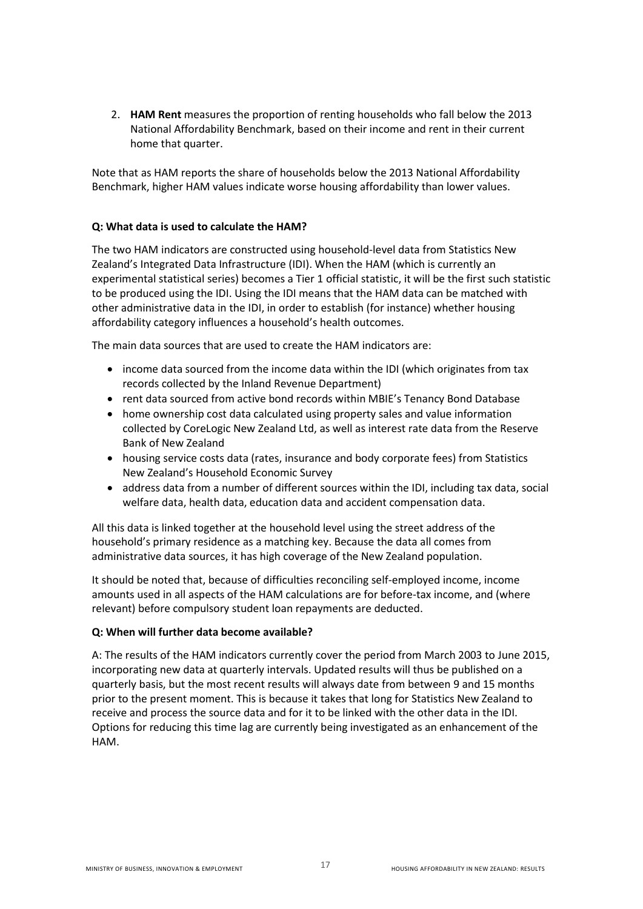2. **HAM Rent** measures the proportion of renting households who fall below the 2013 National Affordability Benchmark, based on their income and rent in their current home that quarter.

Note that as HAM reports the share of households below the 2013 National Affordability Benchmark, higher HAM values indicate worse housing affordability than lower values.

#### **Q: What data is used to calculate the HAM?**

The two HAM indicators are constructed using household-level data from Statistics New Zealand's Integrated Data Infrastructure (IDI). When the HAM (which is currently an experimental statistical series) becomes a Tier 1 official statistic, it will be the first such statistic to be produced using the IDI. Using the IDI means that the HAM data can be matched with other administrative data in the IDI, in order to establish (for instance) whether housing affordability category influences a household's health outcomes.

The main data sources that are used to create the HAM indicators are:

- income data sourced from the income data within the IDI (which originates from tax records collected by the Inland Revenue Department)
- rent data sourced from active bond records within MBIE's Tenancy Bond Database
- home ownership cost data calculated using property sales and value information collected by CoreLogic New Zealand Ltd, as well as interest rate data from the Reserve Bank of New Zealand
- housing service costs data (rates, insurance and body corporate fees) from Statistics New Zealand's Household Economic Survey
- address data from a number of different sources within the IDI, including tax data, social welfare data, health data, education data and accident compensation data.

All this data is linked together at the household level using the street address of the household's primary residence as a matching key. Because the data all comes from administrative data sources, it has high coverage of the New Zealand population.

It should be noted that, because of difficulties reconciling self-employed income, income amounts used in all aspects of the HAM calculations are for before-tax income, and (where relevant) before compulsory student loan repayments are deducted.

#### **Q: When will further data become available?**

A: The results of the HAM indicators currently cover the period from March 2003 to June 2015, incorporating new data at quarterly intervals. Updated results will thus be published on a quarterly basis, but the most recent results will always date from between 9 and 15 months prior to the present moment. This is because it takes that long for Statistics New Zealand to receive and process the source data and for it to be linked with the other data in the IDI. Options for reducing this time lag are currently being investigated as an enhancement of the HAM.